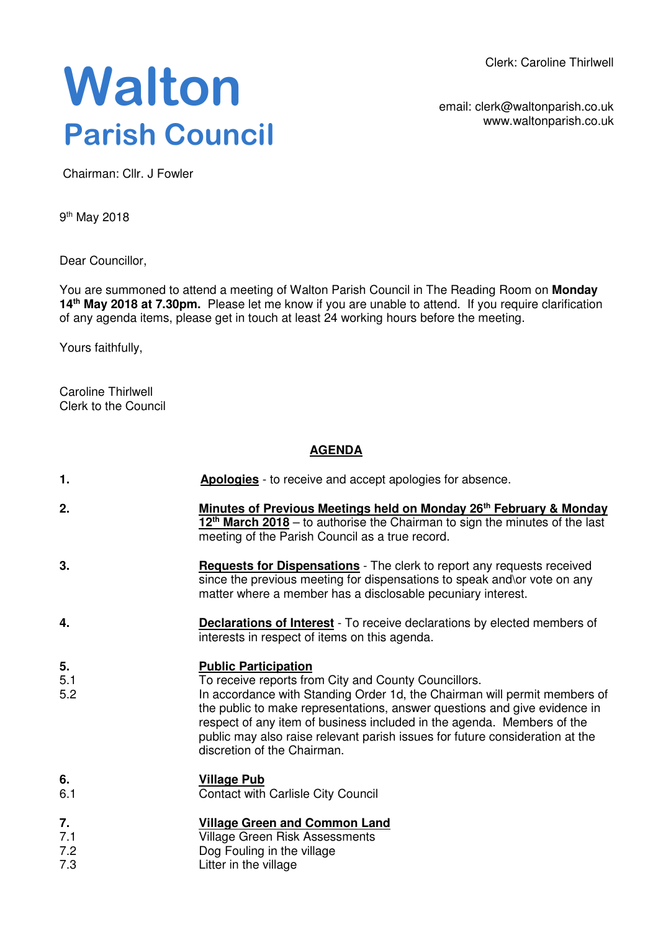Clerk: Caroline Thirlwell

## **Walton Parish Council**

email: clerk@waltonparish.co.uk www.waltonparish.co.uk

Chairman: Cllr. J Fowler

9<sup>th</sup> May 2018

Dear Councillor,

You are summoned to attend a meeting of Walton Parish Council in The Reading Room on **Monday 14th May 2018 at 7.30pm.** Please let me know if you are unable to attend. If you require clarification of any agenda items, please get in touch at least 24 working hours before the meeting.

Yours faithfully,

Caroline Thirlwell Clerk to the Council

## **AGENDA**

| 1.               | <b>Apologies</b> - to receive and accept apologies for absence.                                                                                                                                                                                                                                                                                                                                                                        |
|------------------|----------------------------------------------------------------------------------------------------------------------------------------------------------------------------------------------------------------------------------------------------------------------------------------------------------------------------------------------------------------------------------------------------------------------------------------|
| 2.               | Minutes of Previous Meetings held on Monday 26 <sup>th</sup> February & Monday<br>12 <sup>th</sup> March 2018 – to authorise the Chairman to sign the minutes of the last<br>meeting of the Parish Council as a true record.                                                                                                                                                                                                           |
| 3.               | <b>Requests for Dispensations</b> - The clerk to report any requests received<br>since the previous meeting for dispensations to speak and\or vote on any<br>matter where a member has a disclosable pecuniary interest.                                                                                                                                                                                                               |
| 4.               | <b>Declarations of Interest</b> - To receive declarations by elected members of<br>interests in respect of items on this agenda.                                                                                                                                                                                                                                                                                                       |
| 5.<br>5.1<br>5.2 | <b>Public Participation</b><br>To receive reports from City and County Councillors.<br>In accordance with Standing Order 1d, the Chairman will permit members of<br>the public to make representations, answer questions and give evidence in<br>respect of any item of business included in the agenda. Members of the<br>public may also raise relevant parish issues for future consideration at the<br>discretion of the Chairman. |
| 6.<br>6.1        | <b>Village Pub</b><br><b>Contact with Carlisle City Council</b>                                                                                                                                                                                                                                                                                                                                                                        |
| 7.<br>7.1<br>7.2 | <b>Village Green and Common Land</b><br>Village Green Risk Assessments<br>Dog Fouling in the village                                                                                                                                                                                                                                                                                                                                   |

7.3 Dog Fouling in the village Litter in the village